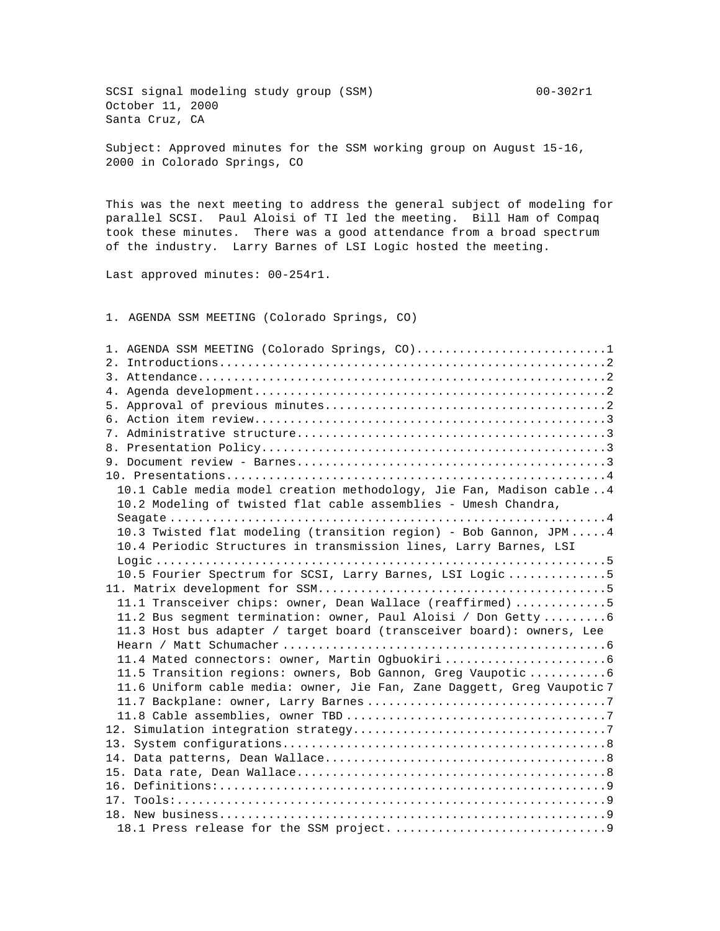SCSI signal modeling study group (SSM) 00-302r1 October 11, 2000 Santa Cruz, CA

Subject: Approved minutes for the SSM working group on August 15-16, 2000 in Colorado Springs, CO

This was the next meeting to address the general subject of modeling for parallel SCSI. Paul Aloisi of TI led the meeting. Bill Ham of Compaq took these minutes. There was a good attendance from a broad spectrum of the industry. Larry Barnes of LSI Logic hosted the meeting.

Last approved minutes: 00-254r1.

1. AGENDA SSM MEETING (Colorado Springs, CO)

| 1. AGENDA SSM MEETING (Colorado Springs, CO)1                           |
|-------------------------------------------------------------------------|
|                                                                         |
|                                                                         |
|                                                                         |
|                                                                         |
|                                                                         |
|                                                                         |
|                                                                         |
|                                                                         |
|                                                                         |
| 10.1 Cable media model creation methodology, Jie Fan, Madison cable4    |
| 10.2 Modeling of twisted flat cable assemblies - Umesh Chandra,         |
|                                                                         |
| 10.3 Twisted flat modeling (transition region) - Bob Gannon, JPM4       |
| 10.4 Periodic Structures in transmission lines, Larry Barnes, LSI       |
|                                                                         |
| 10.5 Fourier Spectrum for SCSI, Larry Barnes, LSI Logic 5               |
|                                                                         |
| 11.1 Transceiver chips: owner, Dean Wallace (reaffirmed) 5              |
| 11.2 Bus segment termination: owner, Paul Aloisi / Don Getty6           |
| 11.3 Host bus adapter / target board (transceiver board): owners, Lee   |
|                                                                         |
|                                                                         |
| 11.5 Transition regions: owners, Bob Gannon, Greg Vaupotic6             |
| 11.6 Uniform cable media: owner, Jie Fan, Zane Daggett, Greg Vaupotic 7 |
|                                                                         |
|                                                                         |
|                                                                         |
|                                                                         |
|                                                                         |
|                                                                         |
|                                                                         |
|                                                                         |
|                                                                         |
|                                                                         |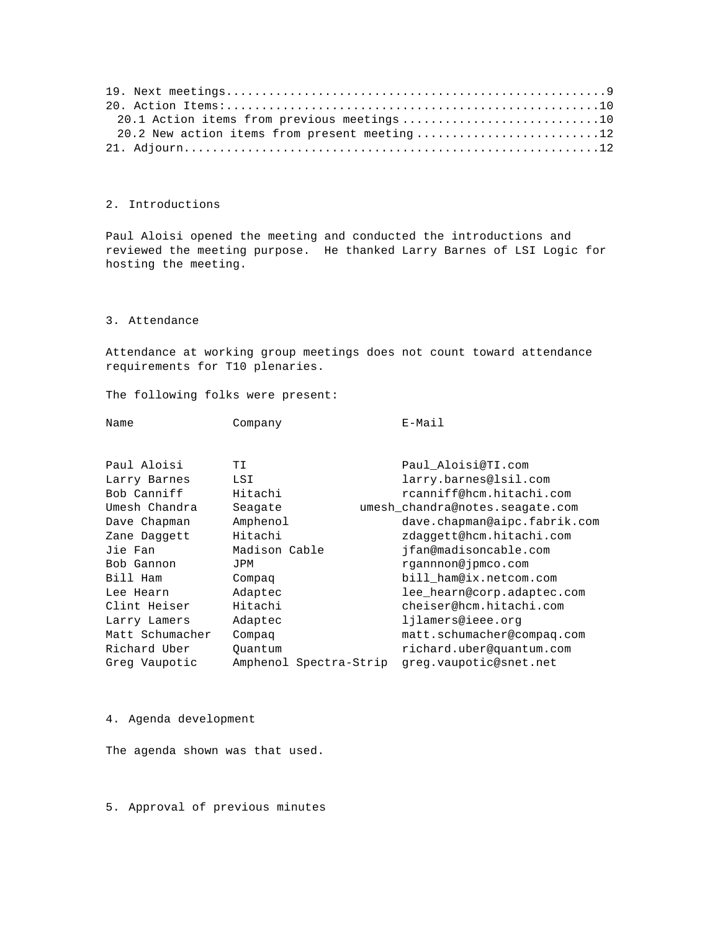| 20.1 Action items from previous meetings10   |
|----------------------------------------------|
| 20.2 New action items from present meeting12 |
|                                              |

## 2. Introductions

Paul Aloisi opened the meeting and conducted the introductions and reviewed the meeting purpose. He thanked Larry Barnes of LSI Logic for hosting the meeting.

## 3. Attendance

Attendance at working group meetings does not count toward attendance requirements for T10 plenaries.

The following folks were present:

| Name | Company | E-Mail |
|------|---------|--------|
|      |         |        |

| Paul Aloisi     | ТI                     | Paul Aloisi@TI.com              |
|-----------------|------------------------|---------------------------------|
| Larry Barnes    | LSI                    | larry.barnes@lsil.com           |
| Bob Canniff     | Hitachi                | rcanniff@hcm.hitachi.com        |
| Umesh Chandra   | Seagate                | umesh chandra@notes.seagate.com |
| Dave Chapman    | Amphenol               | dave.chapman@aipc.fabrik.com    |
| Zane Daggett    | Hitachi                | zdaggett@hcm.hitachi.com        |
| Jie Fan         | Madison Cable          | ifan@madisoncable.com           |
| Bob Gannon      | JPM                    | rgannnon@jpmco.com              |
| Bill Ham        | Compaq                 | bill ham@ix.netcom.com          |
| Lee Hearn       | Adaptec                | lee_hearn@corp.adaptec.com      |
| Clint Heiser    | Hitachi                | cheiser@hcm.hitachi.com         |
| Larry Lamers    | Adaptec                | lilamers@ieee.org               |
| Matt Schumacher | Compag                 | matt.schumacher@compaq.com      |
| Richard Uber    | Ouantum                | richard.uber@quantum.com        |
| Greg Vaupotic   | Amphenol Spectra-Strip | greg.vaupotic@snet.net          |

# 4. Agenda development

The agenda shown was that used.

5. Approval of previous minutes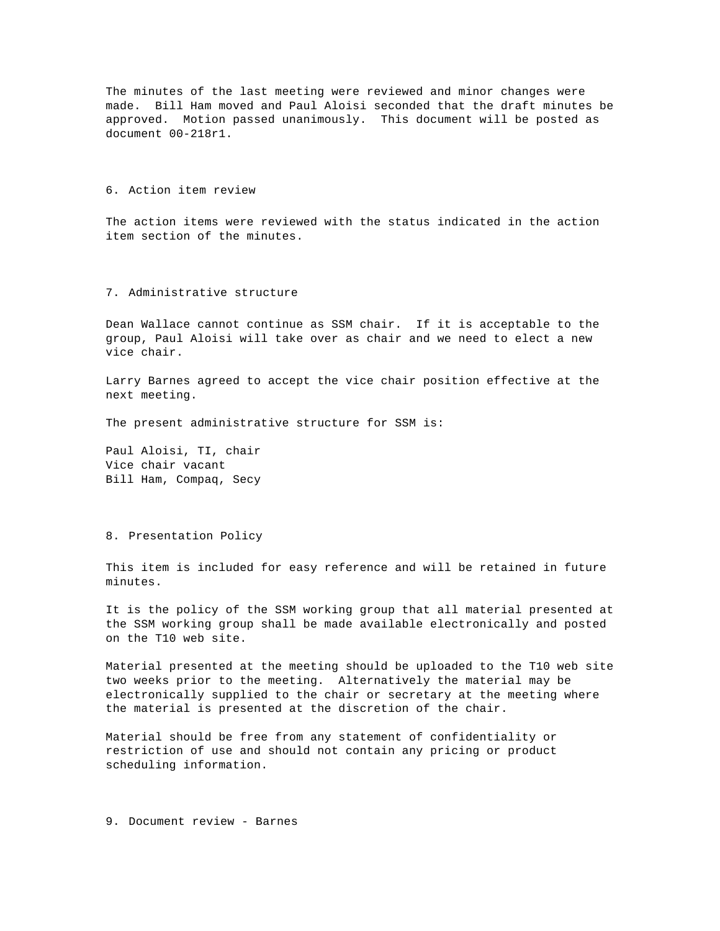The minutes of the last meeting were reviewed and minor changes were made. Bill Ham moved and Paul Aloisi seconded that the draft minutes be approved. Motion passed unanimously. This document will be posted as document 00-218r1.

### 6. Action item review

The action items were reviewed with the status indicated in the action item section of the minutes.

## 7. Administrative structure

Dean Wallace cannot continue as SSM chair. If it is acceptable to the group, Paul Aloisi will take over as chair and we need to elect a new vice chair.

Larry Barnes agreed to accept the vice chair position effective at the next meeting.

The present administrative structure for SSM is:

Paul Aloisi, TI, chair Vice chair vacant Bill Ham, Compaq, Secy

#### 8. Presentation Policy

This item is included for easy reference and will be retained in future minutes.

It is the policy of the SSM working group that all material presented at the SSM working group shall be made available electronically and posted on the T10 web site.

Material presented at the meeting should be uploaded to the T10 web site two weeks prior to the meeting. Alternatively the material may be electronically supplied to the chair or secretary at the meeting where the material is presented at the discretion of the chair.

Material should be free from any statement of confidentiality or restriction of use and should not contain any pricing or product scheduling information.

### 9. Document review - Barnes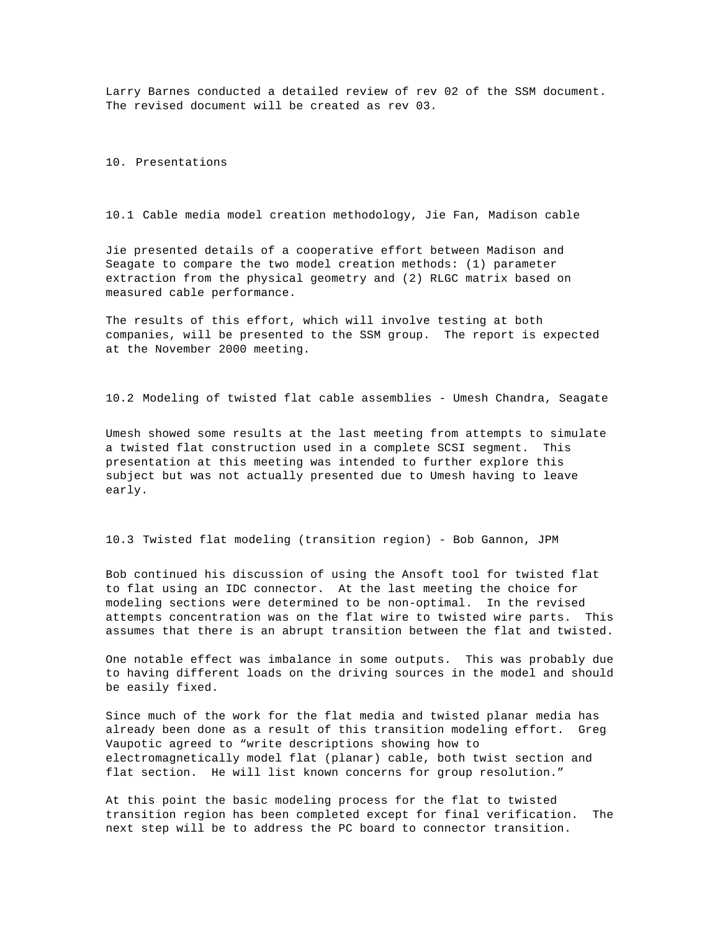Larry Barnes conducted a detailed review of rev 02 of the SSM document. The revised document will be created as rev 03.

10. Presentations

10.1 Cable media model creation methodology, Jie Fan, Madison cable

Jie presented details of a cooperative effort between Madison and Seagate to compare the two model creation methods: (1) parameter extraction from the physical geometry and (2) RLGC matrix based on measured cable performance.

The results of this effort, which will involve testing at both companies, will be presented to the SSM group. The report is expected at the November 2000 meeting.

10.2 Modeling of twisted flat cable assemblies - Umesh Chandra, Seagate

Umesh showed some results at the last meeting from attempts to simulate a twisted flat construction used in a complete SCSI segment. This presentation at this meeting was intended to further explore this subject but was not actually presented due to Umesh having to leave early.

10.3 Twisted flat modeling (transition region) - Bob Gannon, JPM

Bob continued his discussion of using the Ansoft tool for twisted flat to flat using an IDC connector. At the last meeting the choice for modeling sections were determined to be non-optimal. In the revised attempts concentration was on the flat wire to twisted wire parts. This assumes that there is an abrupt transition between the flat and twisted.

One notable effect was imbalance in some outputs. This was probably due to having different loads on the driving sources in the model and should be easily fixed.

Since much of the work for the flat media and twisted planar media has already been done as a result of this transition modeling effort. Greg Vaupotic agreed to "write descriptions showing how to electromagnetically model flat (planar) cable, both twist section and flat section. He will list known concerns for group resolution."

At this point the basic modeling process for the flat to twisted transition region has been completed except for final verification. The next step will be to address the PC board to connector transition.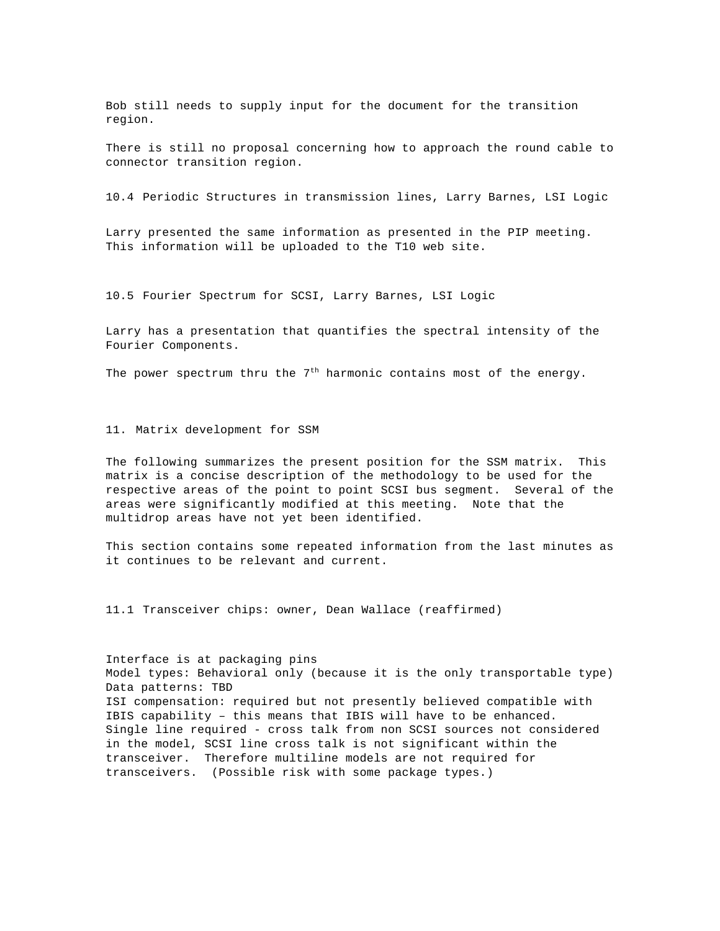Bob still needs to supply input for the document for the transition region.

There is still no proposal concerning how to approach the round cable to connector transition region.

10.4 Periodic Structures in transmission lines, Larry Barnes, LSI Logic

Larry presented the same information as presented in the PIP meeting. This information will be uploaded to the T10 web site.

10.5 Fourier Spectrum for SCSI, Larry Barnes, LSI Logic

Larry has a presentation that quantifies the spectral intensity of the Fourier Components.

The power spectrum thru the  $7<sup>th</sup>$  harmonic contains most of the energy.

## 11. Matrix development for SSM

The following summarizes the present position for the SSM matrix. This matrix is a concise description of the methodology to be used for the respective areas of the point to point SCSI bus segment. Several of the areas were significantly modified at this meeting. Note that the multidrop areas have not yet been identified.

This section contains some repeated information from the last minutes as it continues to be relevant and current.

11.1 Transceiver chips: owner, Dean Wallace (reaffirmed)

Interface is at packaging pins Model types: Behavioral only (because it is the only transportable type) Data patterns: TBD ISI compensation: required but not presently believed compatible with IBIS capability – this means that IBIS will have to be enhanced. Single line required - cross talk from non SCSI sources not considered in the model, SCSI line cross talk is not significant within the transceiver. Therefore multiline models are not required for transceivers. (Possible risk with some package types.)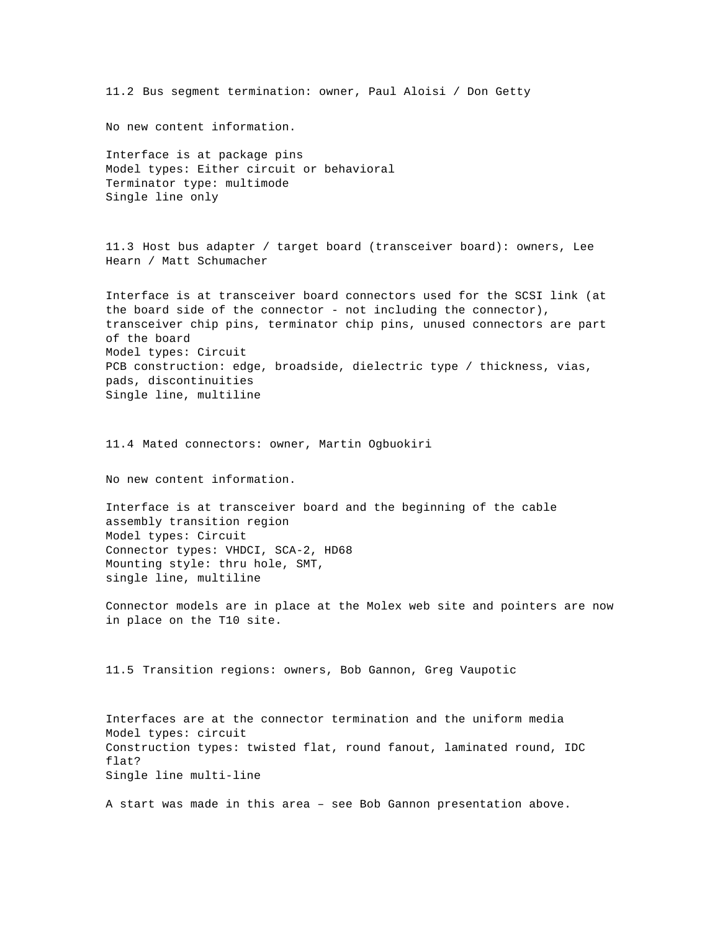11.2 Bus segment termination: owner, Paul Aloisi / Don Getty

No new content information.

Interface is at package pins Model types: Either circuit or behavioral Terminator type: multimode Single line only

11.3 Host bus adapter / target board (transceiver board): owners, Lee Hearn / Matt Schumacher

Interface is at transceiver board connectors used for the SCSI link (at the board side of the connector - not including the connector), transceiver chip pins, terminator chip pins, unused connectors are part of the board Model types: Circuit PCB construction: edge, broadside, dielectric type / thickness, vias, pads, discontinuities Single line, multiline

11.4 Mated connectors: owner, Martin Ogbuokiri

No new content information.

Interface is at transceiver board and the beginning of the cable assembly transition region Model types: Circuit Connector types: VHDCI, SCA-2, HD68 Mounting style: thru hole, SMT, single line, multiline

Connector models are in place at the Molex web site and pointers are now in place on the T10 site.

11.5 Transition regions: owners, Bob Gannon, Greg Vaupotic

Interfaces are at the connector termination and the uniform media Model types: circuit Construction types: twisted flat, round fanout, laminated round, IDC flat? Single line multi-line

A start was made in this area – see Bob Gannon presentation above.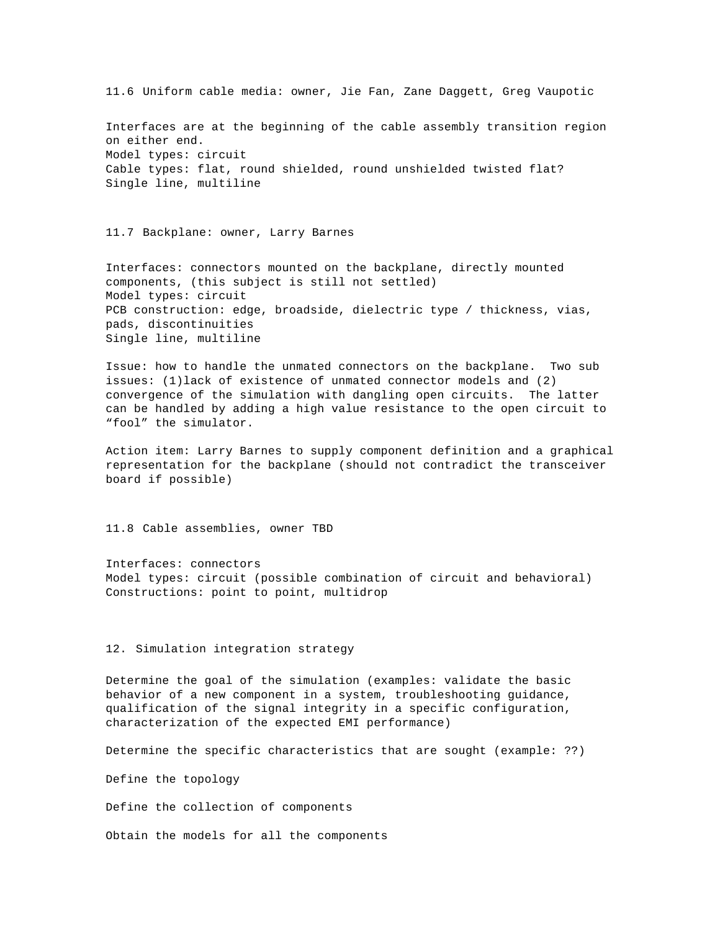11.6 Uniform cable media: owner, Jie Fan, Zane Daggett, Greg Vaupotic Interfaces are at the beginning of the cable assembly transition region on either end. Model types: circuit Cable types: flat, round shielded, round unshielded twisted flat? Single line, multiline

11.7 Backplane: owner, Larry Barnes

Interfaces: connectors mounted on the backplane, directly mounted components, (this subject is still not settled) Model types: circuit PCB construction: edge, broadside, dielectric type / thickness, vias, pads, discontinuities Single line, multiline

Issue: how to handle the unmated connectors on the backplane. Two sub issues: (1)lack of existence of unmated connector models and (2) convergence of the simulation with dangling open circuits. The latter can be handled by adding a high value resistance to the open circuit to "fool" the simulator.

Action item: Larry Barnes to supply component definition and a graphical representation for the backplane (should not contradict the transceiver board if possible)

11.8 Cable assemblies, owner TBD

Interfaces: connectors Model types: circuit (possible combination of circuit and behavioral) Constructions: point to point, multidrop

12. Simulation integration strategy

Determine the goal of the simulation (examples: validate the basic behavior of a new component in a system, troubleshooting guidance, qualification of the signal integrity in a specific configuration, characterization of the expected EMI performance)

Determine the specific characteristics that are sought (example: ??)

Define the topology

Define the collection of components

Obtain the models for all the components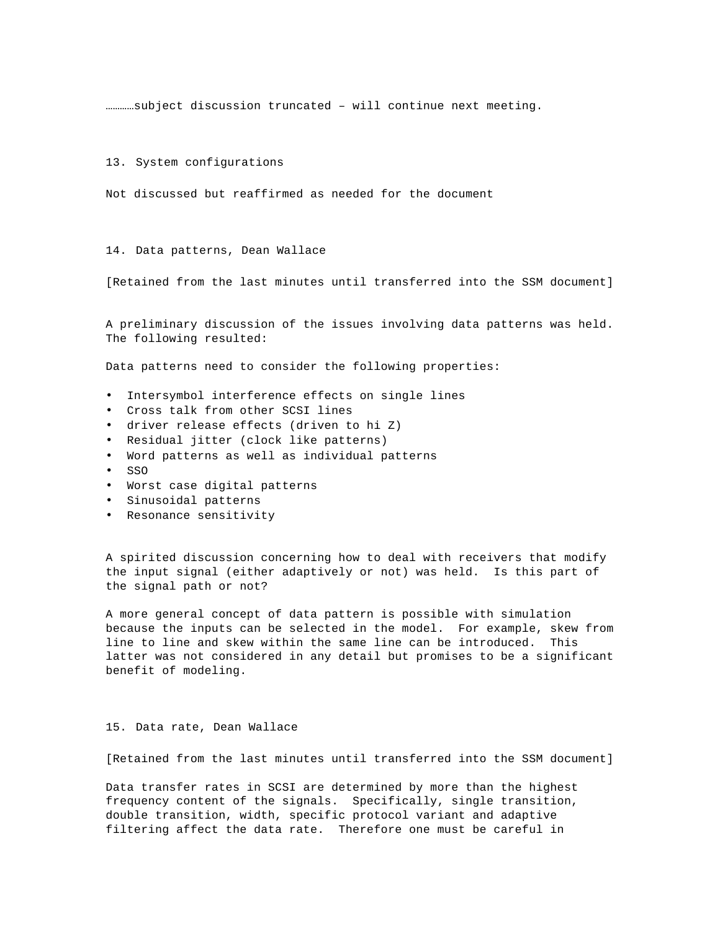…………subject discussion truncated – will continue next meeting.

13. System configurations

Not discussed but reaffirmed as needed for the document

14. Data patterns, Dean Wallace

[Retained from the last minutes until transferred into the SSM document]

A preliminary discussion of the issues involving data patterns was held. The following resulted:

Data patterns need to consider the following properties:

- Intersymbol interference effects on single lines
- Cross talk from other SCSI lines
- driver release effects (driven to hi Z)
- Residual jitter (clock like patterns)
- Word patterns as well as individual patterns
- SSO
- Worst case digital patterns
- Sinusoidal patterns
- Resonance sensitivity

A spirited discussion concerning how to deal with receivers that modify the input signal (either adaptively or not) was held. Is this part of the signal path or not?

A more general concept of data pattern is possible with simulation because the inputs can be selected in the model. For example, skew from line to line and skew within the same line can be introduced. This latter was not considered in any detail but promises to be a significant benefit of modeling.

### 15. Data rate, Dean Wallace

[Retained from the last minutes until transferred into the SSM document]

Data transfer rates in SCSI are determined by more than the highest frequency content of the signals. Specifically, single transition, double transition, width, specific protocol variant and adaptive filtering affect the data rate. Therefore one must be careful in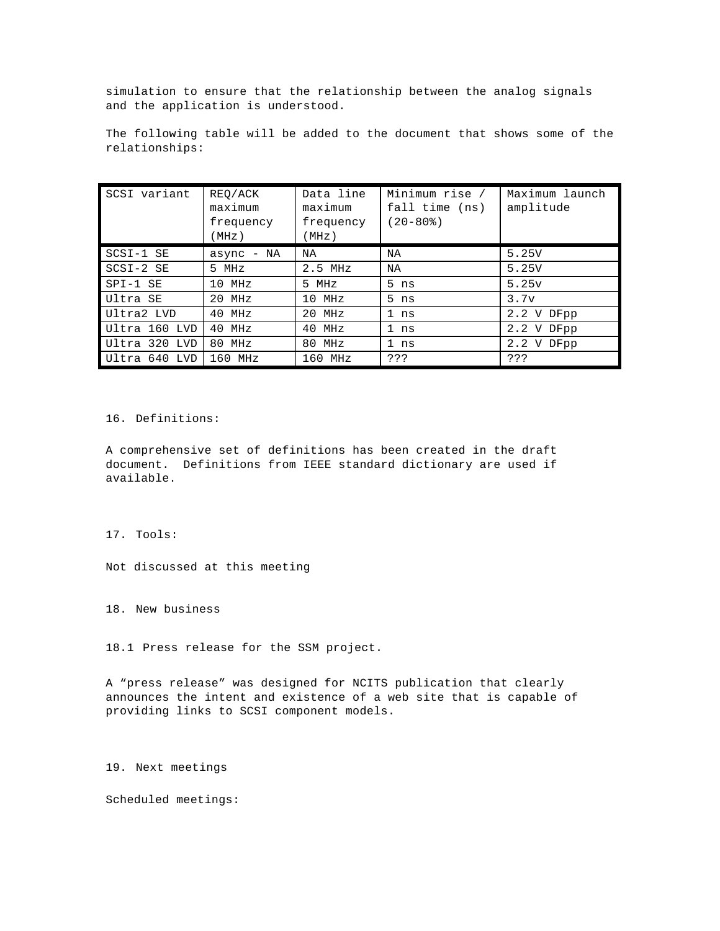simulation to ensure that the relationship between the analog signals and the application is understood.

The following table will be added to the document that shows some of the relationships:

| SCSI variant  | REO/ACK<br>maximum<br>frequency<br>(MHz) | Data line<br>maximum<br>frequency<br>(MHz) | Minimum rise /<br>fall time (ns)<br>$(20 - 80\%)$ | Maximum launch<br>amplitude |
|---------------|------------------------------------------|--------------------------------------------|---------------------------------------------------|-----------------------------|
| SCSI-1 SE     | async - NA                               | NA                                         | NA                                                | 5.25V                       |
| SCSI-2 SE     | 5 MHz                                    | $2.5$ MHz                                  | NA                                                | 5.25V                       |
| SPI-1 SE      | $10$ MHz                                 | 5 MHz                                      | $5$ ns                                            | 5.25v                       |
| Ultra SE      | 20 MHz                                   | $10$ MHz                                   | $5$ ns                                            | 3.7v                        |
| Ultra2 LVD    | 40 MHz                                   | 20 MHz                                     | 1 ns                                              | 2.2 V DFpp                  |
| Ultra 160 LVD | 40 MHz                                   | 40 MHz                                     | 1 ns                                              | 2.2 V DFpp                  |
| Ultra 320 LVD | 80 MHz                                   | 80 MHz                                     | 1 <sub>ns</sub>                                   | 2.2 V DFpp                  |
| Ultra 640 LVD | $160$ MHz                                | 160 MHz                                    | ???                                               | ???                         |

16. Definitions:

A comprehensive set of definitions has been created in the draft document. Definitions from IEEE standard dictionary are used if available.

17. Tools:

Not discussed at this meeting

18. New business

18.1 Press release for the SSM project.

A "press release" was designed for NCITS publication that clearly announces the intent and existence of a web site that is capable of providing links to SCSI component models.

19. Next meetings

Scheduled meetings: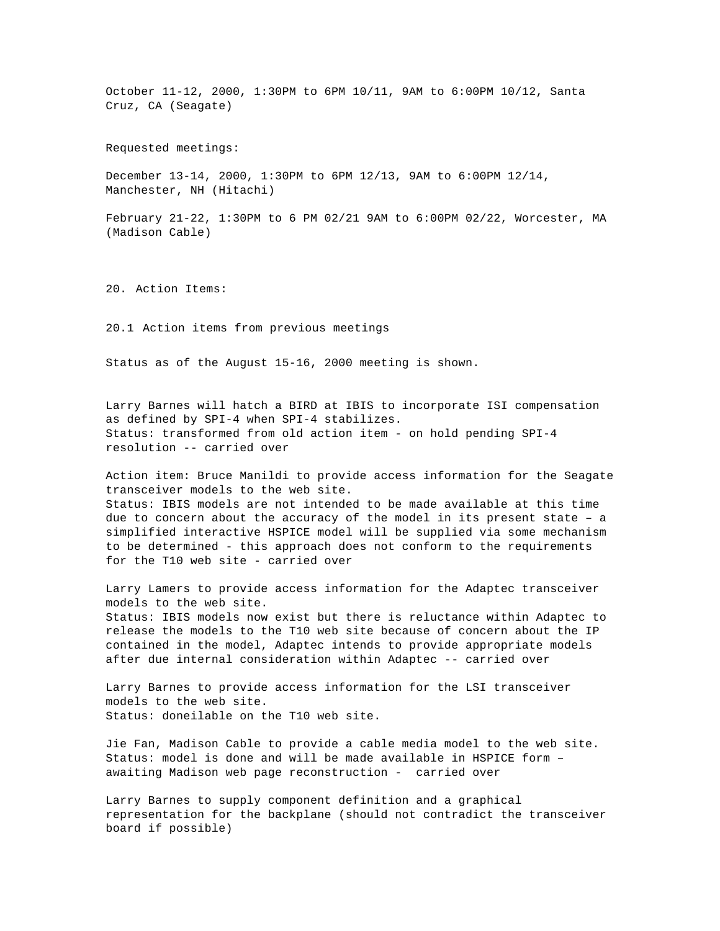October 11-12, 2000, 1:30PM to 6PM 10/11, 9AM to 6:00PM 10/12, Santa Cruz, CA (Seagate)

Requested meetings:

December 13-14, 2000, 1:30PM to 6PM 12/13, 9AM to 6:00PM 12/14, Manchester, NH (Hitachi)

February 21-22, 1:30PM to 6 PM 02/21 9AM to 6:00PM 02/22, Worcester, MA (Madison Cable)

20. Action Items:

20.1 Action items from previous meetings

Status as of the August 15-16, 2000 meeting is shown.

Larry Barnes will hatch a BIRD at IBIS to incorporate ISI compensation as defined by SPI-4 when SPI-4 stabilizes. Status: transformed from old action item - on hold pending SPI-4 resolution -- carried over

Action item: Bruce Manildi to provide access information for the Seagate transceiver models to the web site. Status: IBIS models are not intended to be made available at this time due to concern about the accuracy of the model in its present state – a simplified interactive HSPICE model will be supplied via some mechanism to be determined - this approach does not conform to the requirements for the T10 web site - carried over

Larry Lamers to provide access information for the Adaptec transceiver models to the web site. Status: IBIS models now exist but there is reluctance within Adaptec to release the models to the T10 web site because of concern about the IP contained in the model, Adaptec intends to provide appropriate models after due internal consideration within Adaptec -- carried over

Larry Barnes to provide access information for the LSI transceiver models to the web site. Status: doneilable on the T10 web site.

Jie Fan, Madison Cable to provide a cable media model to the web site. Status: model is done and will be made available in HSPICE form – awaiting Madison web page reconstruction - carried over

Larry Barnes to supply component definition and a graphical representation for the backplane (should not contradict the transceiver board if possible)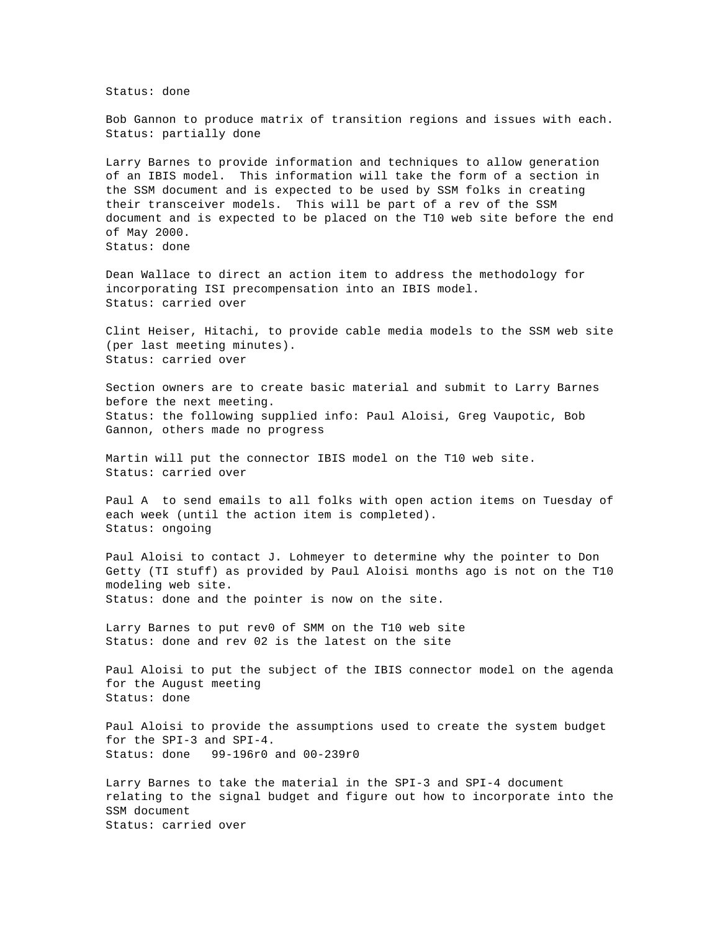Status: done

Bob Gannon to produce matrix of transition regions and issues with each. Status: partially done

Larry Barnes to provide information and techniques to allow generation of an IBIS model. This information will take the form of a section in the SSM document and is expected to be used by SSM folks in creating their transceiver models. This will be part of a rev of the SSM document and is expected to be placed on the T10 web site before the end of May 2000. Status: done

Dean Wallace to direct an action item to address the methodology for incorporating ISI precompensation into an IBIS model. Status: carried over

Clint Heiser, Hitachi, to provide cable media models to the SSM web site (per last meeting minutes). Status: carried over

Section owners are to create basic material and submit to Larry Barnes before the next meeting. Status: the following supplied info: Paul Aloisi, Greg Vaupotic, Bob Gannon, others made no progress

Martin will put the connector IBIS model on the T10 web site. Status: carried over

Paul A to send emails to all folks with open action items on Tuesday of each week (until the action item is completed). Status: ongoing

Paul Aloisi to contact J. Lohmeyer to determine why the pointer to Don Getty (TI stuff) as provided by Paul Aloisi months ago is not on the T10 modeling web site. Status: done and the pointer is now on the site.

Larry Barnes to put rev0 of SMM on the T10 web site Status: done and rev 02 is the latest on the site

Paul Aloisi to put the subject of the IBIS connector model on the agenda for the August meeting Status: done

Paul Aloisi to provide the assumptions used to create the system budget for the SPI-3 and SPI-4. Status: done 99-196r0 and 00-239r0

Larry Barnes to take the material in the SPI-3 and SPI-4 document relating to the signal budget and figure out how to incorporate into the SSM document Status: carried over